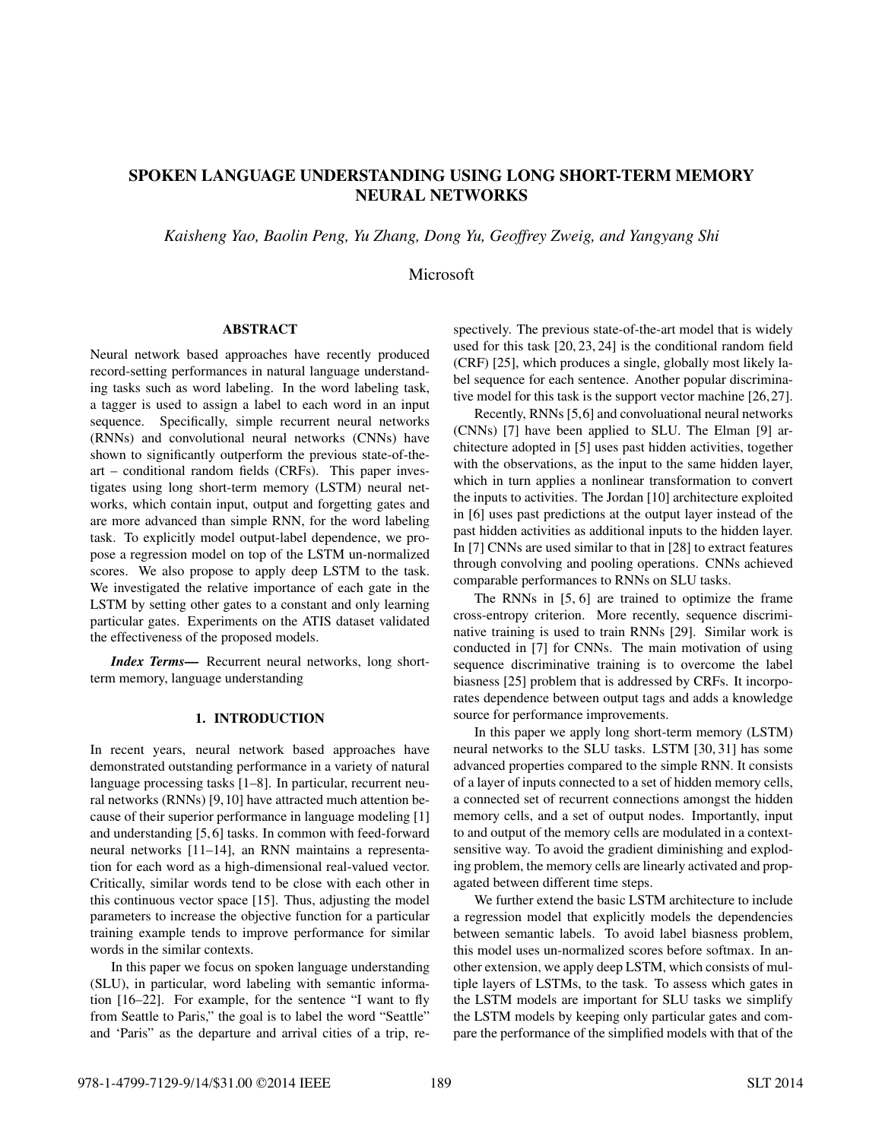# SPOKEN LANGUAGE UNDERSTANDING USING LONG SHORT-TERM MEMORY NEURAL NETWORKS

*Kaisheng Yao, Baolin Peng, Yu Zhang, Dong Yu, Geoffrey Zweig, and Yangyang Shi*

Microsoft

# ABSTRACT

Neural network based approaches have recently produced record-setting performances in natural language understanding tasks such as word labeling. In the word labeling task, a tagger is used to assign a label to each word in an input sequence. Specifically, simple recurrent neural networks (RNNs) and convolutional neural networks (CNNs) have shown to significantly outperform the previous state-of-theart – conditional random fields (CRFs). This paper investigates using long short-term memory (LSTM) neural networks, which contain input, output and forgetting gates and are more advanced than simple RNN, for the word labeling task. To explicitly model output-label dependence, we propose a regression model on top of the LSTM un-normalized scores. We also propose to apply deep LSTM to the task. We investigated the relative importance of each gate in the LSTM by setting other gates to a constant and only learning particular gates. Experiments on the ATIS dataset validated the effectiveness of the proposed models.

*Index Terms*— Recurrent neural networks, long shortterm memory, language understanding

# 1. INTRODUCTION

In recent years, neural network based approaches have demonstrated outstanding performance in a variety of natural language processing tasks [1–8]. In particular, recurrent neural networks (RNNs) [9,10] have attracted much attention because of their superior performance in language modeling [1] and understanding [5, 6] tasks. In common with feed-forward neural networks [11–14], an RNN maintains a representation for each word as a high-dimensional real-valued vector. Critically, similar words tend to be close with each other in this continuous vector space [15]. Thus, adjusting the model parameters to increase the objective function for a particular training example tends to improve performance for similar words in the similar contexts.

In this paper we focus on spoken language understanding (SLU), in particular, word labeling with semantic information [16–22]. For example, for the sentence "I want to fly from Seattle to Paris," the goal is to label the word "Seattle" and 'Paris" as the departure and arrival cities of a trip, respectively. The previous state-of-the-art model that is widely used for this task [20, 23, 24] is the conditional random field (CRF) [25], which produces a single, globally most likely label sequence for each sentence. Another popular discriminative model for this task is the support vector machine [26,27].

Recently, RNNs [5,6] and convoluational neural networks (CNNs) [7] have been applied to SLU. The Elman [9] architecture adopted in [5] uses past hidden activities, together with the observations, as the input to the same hidden layer, which in turn applies a nonlinear transformation to convert the inputs to activities. The Jordan [10] architecture exploited in [6] uses past predictions at the output layer instead of the past hidden activities as additional inputs to the hidden layer. In [7] CNNs are used similar to that in [28] to extract features through convolving and pooling operations. CNNs achieved comparable performances to RNNs on SLU tasks.

The RNNs in [5, 6] are trained to optimize the frame cross-entropy criterion. More recently, sequence discriminative training is used to train RNNs [29]. Similar work is conducted in [7] for CNNs. The main motivation of using sequence discriminative training is to overcome the label biasness [25] problem that is addressed by CRFs. It incorporates dependence between output tags and adds a knowledge source for performance improvements.

In this paper we apply long short-term memory (LSTM) neural networks to the SLU tasks. LSTM [30, 31] has some advanced properties compared to the simple RNN. It consists of a layer of inputs connected to a set of hidden memory cells, a connected set of recurrent connections amongst the hidden memory cells, and a set of output nodes. Importantly, input to and output of the memory cells are modulated in a contextsensitive way. To avoid the gradient diminishing and exploding problem, the memory cells are linearly activated and propagated between different time steps.

We further extend the basic LSTM architecture to include a regression model that explicitly models the dependencies between semantic labels. To avoid label biasness problem, this model uses un-normalized scores before softmax. In another extension, we apply deep LSTM, which consists of multiple layers of LSTMs, to the task. To assess which gates in the LSTM models are important for SLU tasks we simplify the LSTM models by keeping only particular gates and compare the performance of the simplified models with that of the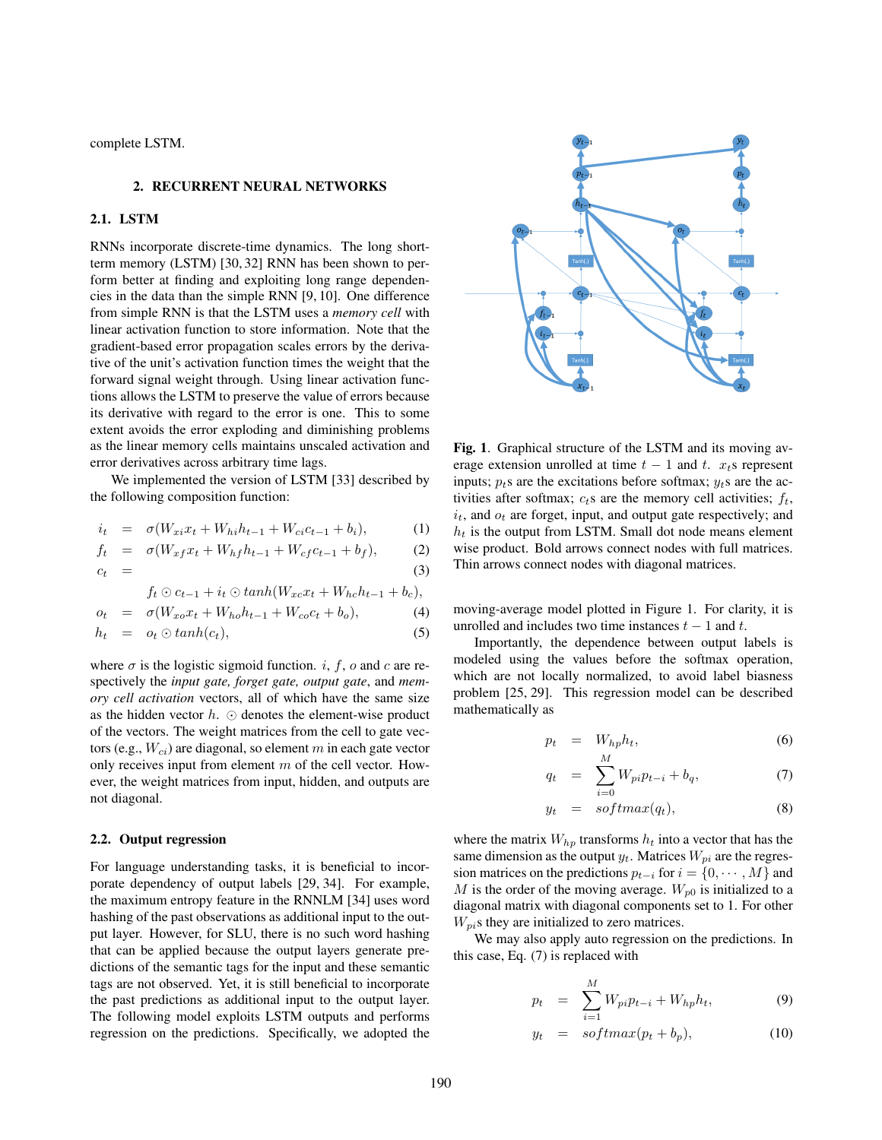complete LSTM.

### 2. RECURRENT NEURAL NETWORKS

# 2.1. LSTM

RNNs incorporate discrete-time dynamics. The long shortterm memory (LSTM) [30, 32] RNN has been shown to perform better at finding and exploiting long range dependencies in the data than the simple RNN [9, 10]. One difference from simple RNN is that the LSTM uses a *memory cell* with linear activation function to store information. Note that the gradient-based error propagation scales errors by the derivative of the unit's activation function times the weight that the forward signal weight through. Using linear activation functions allows the LSTM to preserve the value of errors because its derivative with regard to the error is one. This to some extent avoids the error exploding and diminishing problems as the linear memory cells maintains unscaled activation and error derivatives across arbitrary time lags.

We implemented the version of LSTM [33] described by the following composition function:

$$
i_t = \sigma(W_{xi}x_t + W_{hi}h_{t-1} + W_{ci}c_{t-1} + b_i), \tag{1}
$$

$$
f_t = \sigma(W_{xf}x_t + W_{hf}h_{t-1} + W_{cf}c_{t-1} + b_f),
$$
 (2)

$$
c_t = (3)
$$

$$
f_t \odot c_{t-1} + i_t \odot tanh(W_{xc}x_t + W_{hc}h_{t-1} + b_c),
$$

$$
o_t = \sigma(W_{xo}x_t + W_{ho}h_{t-1} + W_{co}c_t + b_o),
$$
  
\n
$$
h_t = o_t \odot tanh(c_t),
$$
\n(4)

where  $\sigma$  is the logistic sigmoid function. *i*, *f*, *o* and *c* are respectively the *input gate, forget gate, output gate*, and *memory cell activation* vectors, all of which have the same size as the hidden vector  $h. \odot$  denotes the element-wise product of the vectors. The weight matrices from the cell to gate vectors (e.g.,  $W_{ci}$ ) are diagonal, so element m in each gate vector only receives input from element  $m$  of the cell vector. However, the weight matrices from input, hidden, and outputs are not diagonal.

### 2.2. Output regression

For language understanding tasks, it is beneficial to incorporate dependency of output labels [29, 34]. For example, the maximum entropy feature in the RNNLM [34] uses word hashing of the past observations as additional input to the output layer. However, for SLU, there is no such word hashing that can be applied because the output layers generate predictions of the semantic tags for the input and these semantic tags are not observed. Yet, it is still beneficial to incorporate the past predictions as additional input to the output layer. The following model exploits LSTM outputs and performs regression on the predictions. Specifically, we adopted the



Fig. 1. Graphical structure of the LSTM and its moving average extension unrolled at time  $t - 1$  and  $t$ .  $x_t$ s represent inputs;  $p_t$ s are the excitations before softmax;  $y_t$ s are the activities after softmax;  $c_t$ s are the memory cell activities;  $f_t$ ,  $i_t$ , and  $o_t$  are forget, input, and output gate respectively; and  $h_t$  is the output from LSTM. Small dot node means element wise product. Bold arrows connect nodes with full matrices. Thin arrows connect nodes with diagonal matrices.

moving-average model plotted in Figure 1. For clarity, it is unrolled and includes two time instances  $t - 1$  and  $t$ .

Importantly, the dependence between output labels is modeled using the values before the softmax operation, which are not locally normalized, to avoid label biasness problem [25, 29]. This regression model can be described mathematically as

$$
p_t = W_{hp} h_t, \t\t(6)
$$

$$
q_t = \sum_{i=0}^{M} W_{pi} p_{t-i} + b_q, \tag{7}
$$

$$
y_t = softmax(q_t), \qquad (8)
$$

where the matrix  $W_{hp}$  transforms  $h_t$  into a vector that has the same dimension as the output  $y_t$ . Matrices  $W_{pi}$  are the regression matrices on the predictions  $p_{t-i}$  for  $i = \{0, \dots, M\}$  and M is the order of the moving average.  $W_{p0}$  is initialized to a diagonal matrix with diagonal components set to 1. For other  $W_{pi}$ s they are initialized to zero matrices.

We may also apply auto regression on the predictions. In this case, Eq. (7) is replaced with

$$
p_t = \sum_{i=1}^{M} W_{pi} p_{t-i} + W_{hp} h_t, \tag{9}
$$

$$
y_t = softmax(p_t + b_p), \t(10)
$$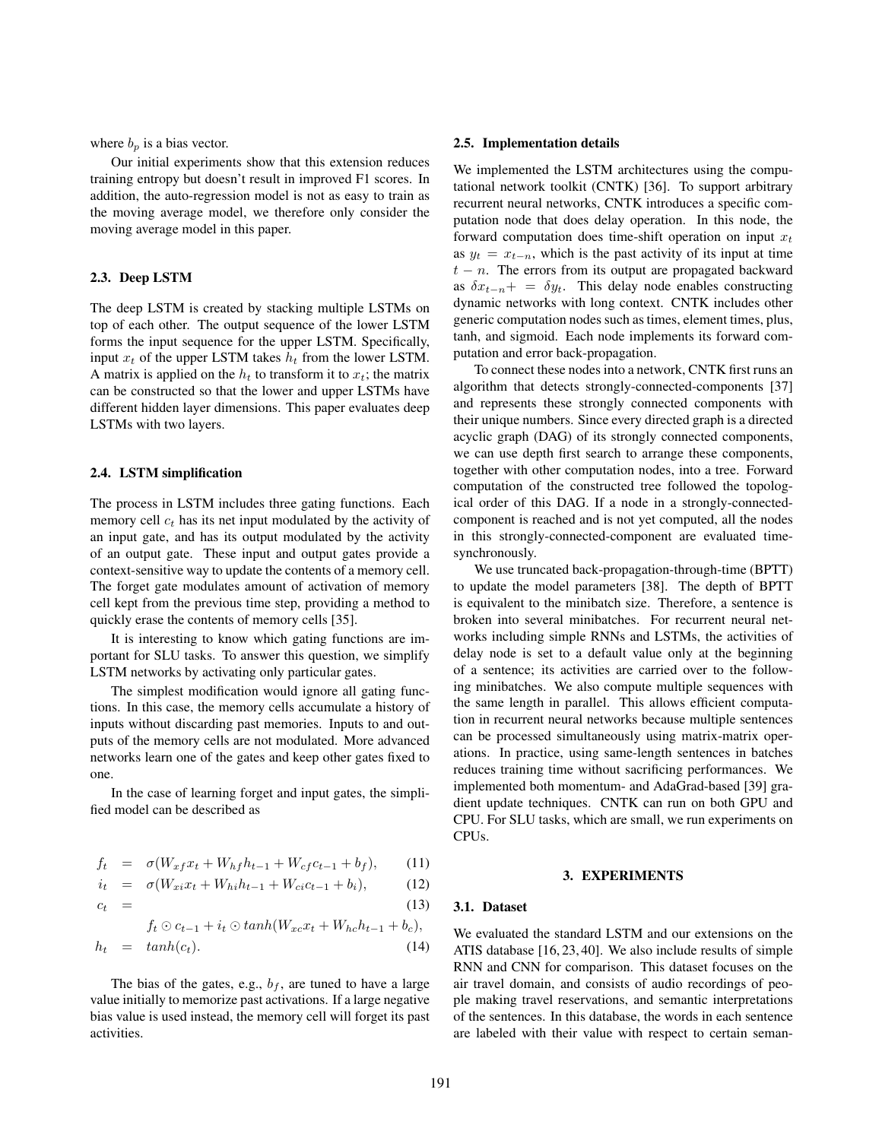where  $b_p$  is a bias vector.

Our initial experiments show that this extension reduces training entropy but doesn't result in improved F1 scores. In addition, the auto-regression model is not as easy to train as the moving average model, we therefore only consider the moving average model in this paper.

# 2.3. Deep LSTM

The deep LSTM is created by stacking multiple LSTMs on top of each other. The output sequence of the lower LSTM forms the input sequence for the upper LSTM. Specifically, input  $x_t$  of the upper LSTM takes  $h_t$  from the lower LSTM. A matrix is applied on the  $h_t$  to transform it to  $x_t$ ; the matrix can be constructed so that the lower and upper LSTMs have different hidden layer dimensions. This paper evaluates deep LSTMs with two layers.

# 2.4. LSTM simplification

The process in LSTM includes three gating functions. Each memory cell  $c_t$  has its net input modulated by the activity of an input gate, and has its output modulated by the activity of an output gate. These input and output gates provide a context-sensitive way to update the contents of a memory cell. The forget gate modulates amount of activation of memory cell kept from the previous time step, providing a method to quickly erase the contents of memory cells [35].

It is interesting to know which gating functions are important for SLU tasks. To answer this question, we simplify LSTM networks by activating only particular gates.

The simplest modification would ignore all gating functions. In this case, the memory cells accumulate a history of inputs without discarding past memories. Inputs to and outputs of the memory cells are not modulated. More advanced networks learn one of the gates and keep other gates fixed to one.

In the case of learning forget and input gates, the simplified model can be described as

$$
f_t = \sigma(W_{xf}x_t + W_{hf}h_{t-1} + W_{cf}c_{t-1} + b_f), \qquad (11)
$$

$$
i_t = \sigma(W_{xi}x_t + W_{hi}h_{t-1} + W_{ci}c_{t-1} + b_i), \tag{12}
$$

$$
c_t = (13)
$$

$$
f_t \odot c_{t-1} + i_t \odot \tanh(W_{xc}x_t + W_{hc}h_{t-1} + b_c),
$$
  
\n
$$
h_t = \tanh(c_t). \tag{14}
$$

The bias of the gates, e.g.,  $b_f$ , are tuned to have a large value initially to memorize past activations. If a large negative bias value is used instead, the memory cell will forget its past activities.

#### 2.5. Implementation details

We implemented the LSTM architectures using the computational network toolkit (CNTK) [36]. To support arbitrary recurrent neural networks, CNTK introduces a specific computation node that does delay operation. In this node, the forward computation does time-shift operation on input  $x_t$ as  $y_t = x_{t-n}$ , which is the past activity of its input at time  $t - n$ . The errors from its output are propagated backward as  $\delta x_{t-n}$  =  $\delta y_t$ . This delay node enables constructing dynamic networks with long context. CNTK includes other generic computation nodes such as times, element times, plus, tanh, and sigmoid. Each node implements its forward computation and error back-propagation.

To connect these nodes into a network, CNTK first runs an algorithm that detects strongly-connected-components [37] and represents these strongly connected components with their unique numbers. Since every directed graph is a directed acyclic graph (DAG) of its strongly connected components, we can use depth first search to arrange these components, together with other computation nodes, into a tree. Forward computation of the constructed tree followed the topological order of this DAG. If a node in a strongly-connectedcomponent is reached and is not yet computed, all the nodes in this strongly-connected-component are evaluated timesynchronously.

We use truncated back-propagation-through-time (BPTT) to update the model parameters [38]. The depth of BPTT is equivalent to the minibatch size. Therefore, a sentence is broken into several minibatches. For recurrent neural networks including simple RNNs and LSTMs, the activities of delay node is set to a default value only at the beginning of a sentence; its activities are carried over to the following minibatches. We also compute multiple sequences with the same length in parallel. This allows efficient computation in recurrent neural networks because multiple sentences can be processed simultaneously using matrix-matrix operations. In practice, using same-length sentences in batches reduces training time without sacrificing performances. We implemented both momentum- and AdaGrad-based [39] gradient update techniques. CNTK can run on both GPU and CPU. For SLU tasks, which are small, we run experiments on CPUs.

#### 3. EXPERIMENTS

#### 3.1. Dataset

We evaluated the standard LSTM and our extensions on the ATIS database [16, 23, 40]. We also include results of simple RNN and CNN for comparison. This dataset focuses on the air travel domain, and consists of audio recordings of people making travel reservations, and semantic interpretations of the sentences. In this database, the words in each sentence are labeled with their value with respect to certain seman-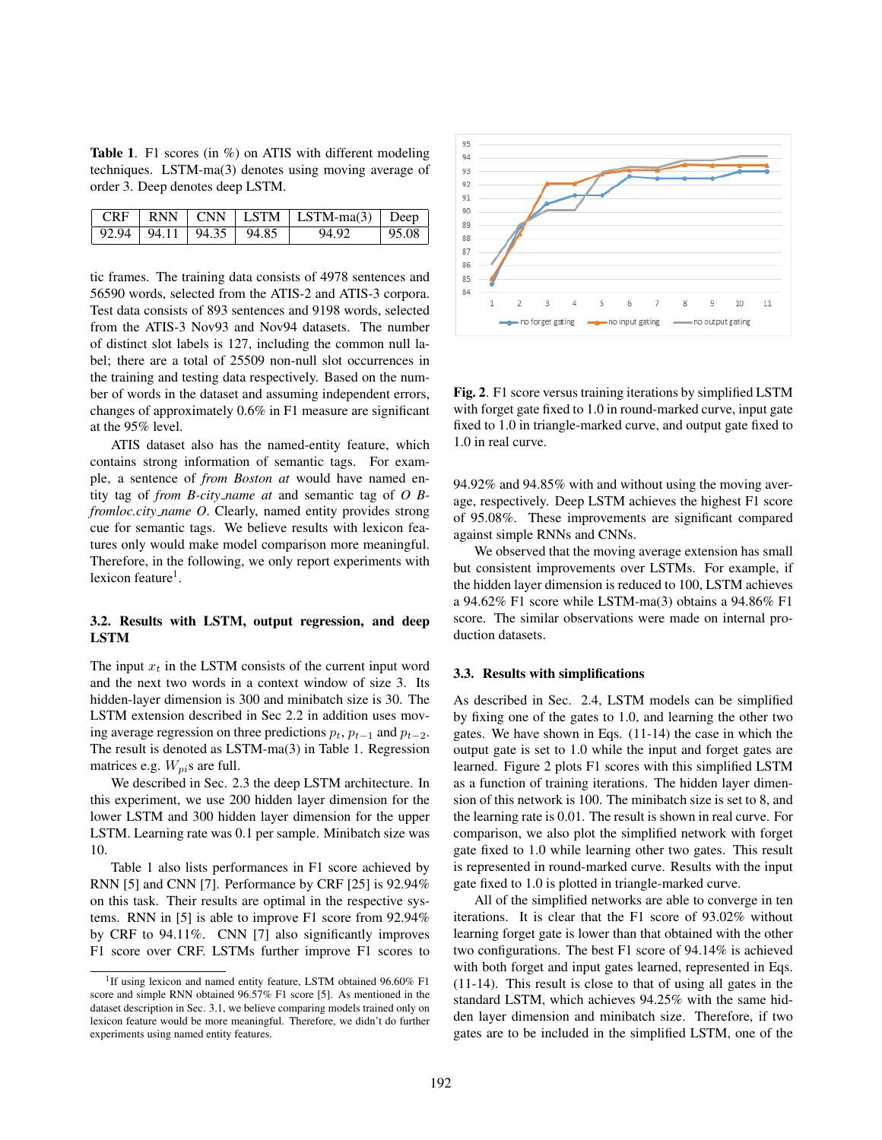**Table 1.** F1 scores (in  $\%$ ) on ATIS with different modeling techniques. LSTM-ma(3) denotes using moving average of order 3. Deep denotes deep LSTM.

|  |                               | $\sqrt{CRF + RNN}$ $\sqrt{CNN}$ $\sqrt{LSTM + LSTM - ma(3)}$ $\sqrt{Deep}$ |          |
|--|-------------------------------|----------------------------------------------------------------------------|----------|
|  | 92.94   94.11   94.35   94.85 | 94.92                                                                      | $+95.08$ |

tic frames. The training data consists of 4978 sentences and 56590 words, selected from the ATIS-2 and ATIS-3 corpora. Test data consists of 893 sentences and 9198 words, selected from the ATIS-3 Nov93 and Nov94 datasets. The number of distinct slot labels is 127, including the common null label; there are a total of 25509 non-null slot occurrences in the training and testing data respectively. Based on the number of words in the dataset and assuming independent errors, changes of approximately 0.6% in F1 measure are significant at the 95% level.

ATIS dataset also has the named-entity feature, which contains strong information of semantic tags. For example, a sentence of *from Boston at* would have named entity tag of *from B-city name at* and semantic tag of *O Bfromloc.city name O*. Clearly, named entity provides strong cue for semantic tags. We believe results with lexicon features only would make model comparison more meaningful. Therefore, in the following, we only report experiments with lexicon feature<sup>1</sup>.

# 3.2. Results with LSTM, output regression, and deep LSTM

The input  $x_t$  in the LSTM consists of the current input word and the next two words in a context window of size 3. Its hidden-layer dimension is 300 and minibatch size is 30. The LSTM extension described in Sec 2.2 in addition uses moving average regression on three predictions  $p_t$ ,  $p_{t-1}$  and  $p_{t-2}$ . The result is denoted as LSTM-ma(3) in Table 1. Regression matrices e.g.  $W_{pi}$ s are full.

We described in Sec. 2.3 the deep LSTM architecture. In this experiment, we use 200 hidden layer dimension for the lower LSTM and 300 hidden layer dimension for the upper LSTM. Learning rate was 0.1 per sample. Minibatch size was 10.

Table 1 also lists performances in F1 score achieved by RNN [5] and CNN [7]. Performance by CRF [25] is 92.94% on this task. Their results are optimal in the respective systems. RNN in [5] is able to improve F1 score from 92.94% by CRF to 94.11%. CNN [7] also significantly improves F1 score over CRF. LSTMs further improve F1 scores to



Fig. 2. F1 score versus training iterations by simplified LSTM with forget gate fixed to 1.0 in round-marked curve, input gate fixed to 1.0 in triangle-marked curve, and output gate fixed to 1.0 in real curve.

94.92% and 94.85% with and without using the moving average, respectively. Deep LSTM achieves the highest F1 score of 95.08%. These improvements are significant compared against simple RNNs and CNNs.

We observed that the moving average extension has small but consistent improvements over LSTMs. For example, if the hidden layer dimension is reduced to 100, LSTM achieves a 94.62% F1 score while LSTM-ma(3) obtains a 94.86% F1 score. The similar observations were made on internal production datasets.

### 3.3. Results with simplifications

As described in Sec. 2.4, LSTM models can be simplified by fixing one of the gates to 1.0, and learning the other two gates. We have shown in Eqs. (11-14) the case in which the output gate is set to 1.0 while the input and forget gates are learned. Figure 2 plots F1 scores with this simplified LSTM as a function of training iterations. The hidden layer dimension of this network is 100. The minibatch size is set to 8, and the learning rate is 0.01. The result is shown in real curve. For comparison, we also plot the simplified network with forget gate fixed to 1.0 while learning other two gates. This result is represented in round-marked curve. Results with the input gate fixed to 1.0 is plotted in triangle-marked curve.

All of the simplified networks are able to converge in ten iterations. It is clear that the F1 score of 93.02% without learning forget gate is lower than that obtained with the other two configurations. The best F1 score of 94.14% is achieved with both forget and input gates learned, represented in Eqs. (11-14). This result is close to that of using all gates in the standard LSTM, which achieves 94.25% with the same hidden layer dimension and minibatch size. Therefore, if two gates are to be included in the simplified LSTM, one of the

<sup>&</sup>lt;sup>1</sup>If using lexicon and named entity feature, LSTM obtained 96.60% F1 score and simple RNN obtained 96.57% F1 score [5]. As mentioned in the dataset description in Sec. 3.1, we believe comparing models trained only on lexicon feature would be more meaningful. Therefore, we didn't do further experiments using named entity features.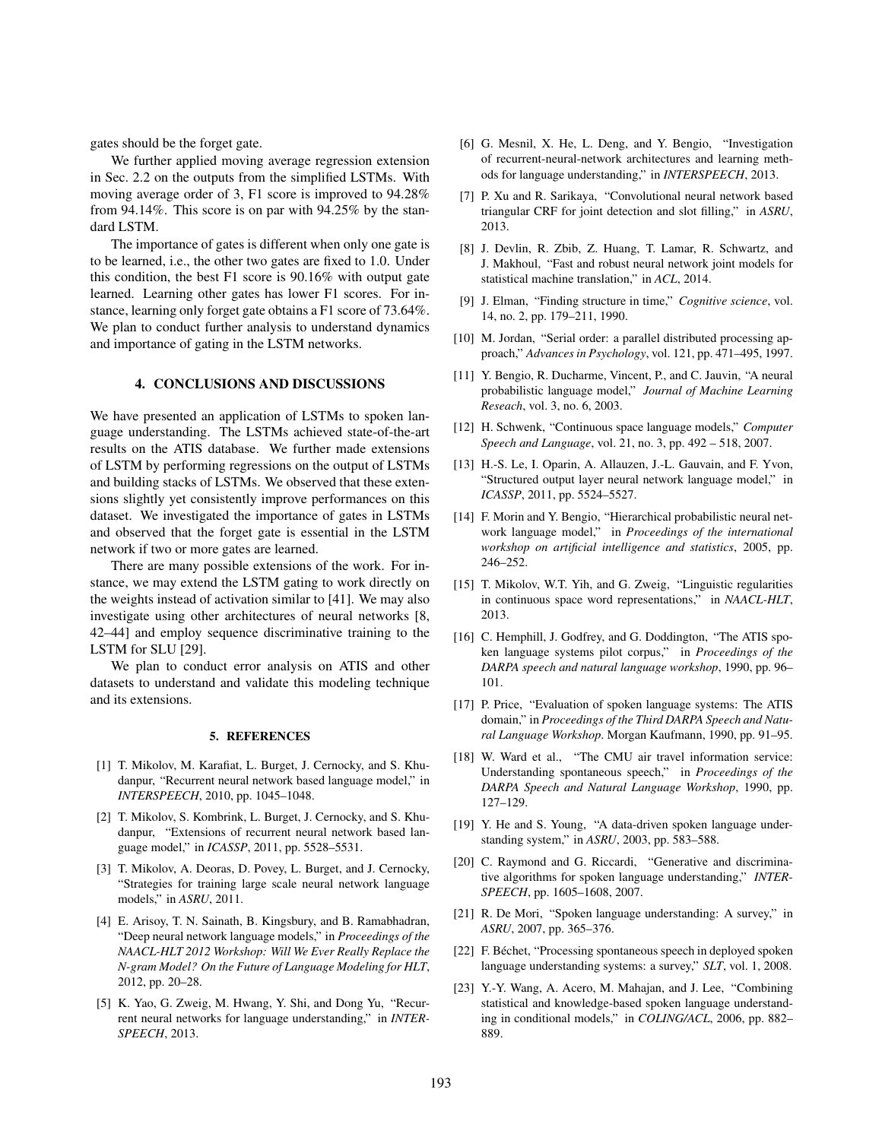gates should be the forget gate.

We further applied moving average regression extension in Sec. 2.2 on the outputs from the simplified LSTMs. With moving average order of 3, F1 score is improved to 94.28% from 94.14%. This score is on par with 94.25% by the standard LSTM.

The importance of gates is different when only one gate is to be learned, i.e., the other two gates are fixed to 1.0. Under this condition, the best F1 score is 90.16% with output gate learned. Learning other gates has lower F1 scores. For instance, learning only forget gate obtains a F1 score of 73.64%. We plan to conduct further analysis to understand dynamics and importance of gating in the LSTM networks.

# 4. CONCLUSIONS AND DISCUSSIONS

We have presented an application of LSTMs to spoken language understanding. The LSTMs achieved state-of-the-art results on the ATIS database. We further made extensions of LSTM by performing regressions on the output of LSTMs and building stacks of LSTMs. We observed that these extensions slightly yet consistently improve performances on this dataset. We investigated the importance of gates in LSTMs and observed that the forget gate is essential in the LSTM network if two or more gates are learned.

There are many possible extensions of the work. For instance, we may extend the LSTM gating to work directly on the weights instead of activation similar to [41]. We may also investigate using other architectures of neural networks [8, 42–44] and employ sequence discriminative training to the LSTM for SLU [29].

We plan to conduct error analysis on ATIS and other datasets to understand and validate this modeling technique and its extensions.

#### 5. REFERENCES

- [1] T. Mikolov, M. Karafiat, L. Burget, J. Cernocky, and S. Khudanpur, "Recurrent neural network based language model," in *INTERSPEECH*, 2010, pp. 1045–1048.
- [2] T. Mikolov, S. Kombrink, L. Burget, J. Cernocky, and S. Khudanpur, "Extensions of recurrent neural network based language model," in *ICASSP*, 2011, pp. 5528–5531.
- [3] T. Mikolov, A. Deoras, D. Povey, L. Burget, and J. Cernocky, "Strategies for training large scale neural network language models," in *ASRU*, 2011.
- [4] E. Arisoy, T. N. Sainath, B. Kingsbury, and B. Ramabhadran, "Deep neural network language models," in *Proceedings of the NAACL-HLT 2012 Workshop: Will We Ever Really Replace the N-gram Model? On the Future of Language Modeling for HLT*, 2012, pp. 20–28.
- [5] K. Yao, G. Zweig, M. Hwang, Y. Shi, and Dong Yu, "Recurrent neural networks for language understanding," in *INTER-SPEECH*, 2013.
- [6] G. Mesnil, X. He, L. Deng, and Y. Bengio, "Investigation of recurrent-neural-network architectures and learning methods for language understanding," in *INTERSPEECH*, 2013.
- [7] P. Xu and R. Sarikaya, "Convolutional neural network based triangular CRF for joint detection and slot filling," in *ASRU*, 2013.
- [8] J. Devlin, R. Zbib, Z. Huang, T. Lamar, R. Schwartz, and J. Makhoul, "Fast and robust neural network joint models for statistical machine translation," in *ACL*, 2014.
- [9] J. Elman, "Finding structure in time," *Cognitive science*, vol. 14, no. 2, pp. 179–211, 1990.
- [10] M. Jordan, "Serial order: a parallel distributed processing approach," *Advances in Psychology*, vol. 121, pp. 471–495, 1997.
- [11] Y. Bengio, R. Ducharme, Vincent, P., and C. Jauvin, "A neural probabilistic language model," *Journal of Machine Learning Reseach*, vol. 3, no. 6, 2003.
- [12] H. Schwenk, "Continuous space language models," *Computer Speech and Language*, vol. 21, no. 3, pp. 492 – 518, 2007.
- [13] H.-S. Le, I. Oparin, A. Allauzen, J.-L. Gauvain, and F. Yvon, "Structured output layer neural network language model," in *ICASSP*, 2011, pp. 5524–5527.
- [14] F. Morin and Y. Bengio, "Hierarchical probabilistic neural network language model," in *Proceedings of the international workshop on artificial intelligence and statistics*, 2005, pp. 246–252.
- [15] T. Mikolov, W.T. Yih, and G. Zweig, "Linguistic regularities in continuous space word representations," in *NAACL-HLT*, 2013.
- [16] C. Hemphill, J. Godfrey, and G. Doddington, "The ATIS spoken language systems pilot corpus," in *Proceedings of the DARPA speech and natural language workshop*, 1990, pp. 96– 101.
- [17] P. Price, "Evaluation of spoken language systems: The ATIS domain," in *Proceedings of the Third DARPA Speech and Natural Language Workshop*. Morgan Kaufmann, 1990, pp. 91–95.
- [18] W. Ward et al., "The CMU air travel information service: Understanding spontaneous speech," in *Proceedings of the DARPA Speech and Natural Language Workshop*, 1990, pp. 127–129.
- [19] Y. He and S. Young, "A data-driven spoken language understanding system," in *ASRU*, 2003, pp. 583–588.
- [20] C. Raymond and G. Riccardi, "Generative and discriminative algorithms for spoken language understanding," *INTER-SPEECH*, pp. 1605–1608, 2007.
- [21] R. De Mori, "Spoken language understanding: A survey," in *ASRU*, 2007, pp. 365–376.
- [22] F. Béchet, "Processing spontaneous speech in deployed spoken language understanding systems: a survey," *SLT*, vol. 1, 2008.
- [23] Y.-Y. Wang, A. Acero, M. Mahajan, and J. Lee, "Combining statistical and knowledge-based spoken language understanding in conditional models," in *COLING/ACL*, 2006, pp. 882– 889.